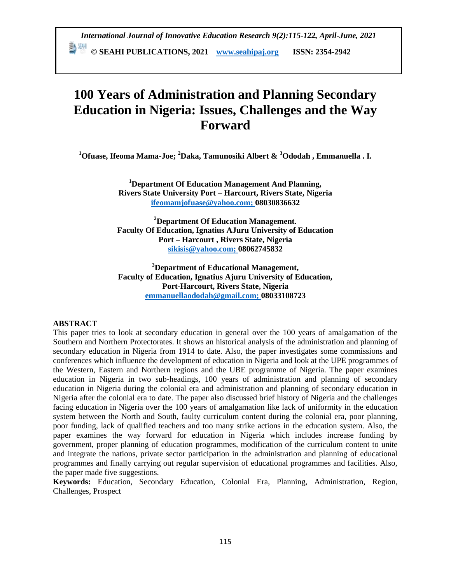*International Journal of Innovative Education Research 9(2):115-122, April-June, 2021* **E <sup>EN</sup>** © SEAHI PUBLICATIONS, 2021 *www.seahipaj.org* **ISSN: 2354-2942** 

# **100 Years of Administration and Planning Secondary Education in Nigeria: Issues, Challenges and the Way Forward**

**<sup>1</sup>Ofuase, Ifeoma Mama-Joe; <sup>2</sup>Daka, Tamunosiki Albert & <sup>3</sup>Ododah , Emmanuella . I.**

**<sup>1</sup>Department Of Education Management And Planning, Rivers State University Port – Harcourt, Rivers State, Nigeria [ifeomamjofuase@yahoo.com;](mailto:ifeomamjofuase@yahoo.com) 08030836632**

**<sup>2</sup>Department Of Education Management. Faculty Of Education, Ignatius AJuru University of Education Port – Harcourt , Rivers State, Nigeria [sikisis@yahoo.com;](mailto:sikisis@yahoo.com) 08062745832**

**<sup>3</sup>Department of Educational Management, Faculty of Education, Ignatius Ajuru University of Education, Port-Harcourt, Rivers State, Nigeria [emmanuellaododah@gmail.com;](mailto:emmanuellaododah@gmail.com) 08033108723**

#### **ABSTRACT**

This paper tries to look at secondary education in general over the 100 years of amalgamation of the Southern and Northern Protectorates. It shows an historical analysis of the administration and planning of secondary education in Nigeria from 1914 to date. Also, the paper investigates some commissions and conferences which influence the development of education in Nigeria and look at the UPE programmes of the Western, Eastern and Northern regions and the UBE programme of Nigeria. The paper examines education in Nigeria in two sub-headings, 100 years of administration and planning of secondary education in Nigeria during the colonial era and administration and planning of secondary education in Nigeria after the colonial era to date. The paper also discussed brief history of Nigeria and the challenges facing education in Nigeria over the 100 years of amalgamation like lack of uniformity in the education system between the North and South, faulty curriculum content during the colonial era, poor planning, poor funding, lack of qualified teachers and too many strike actions in the education system. Also, the paper examines the way forward for education in Nigeria which includes increase funding by government, proper planning of education programmes, modification of the curriculum content to unite and integrate the nations, private sector participation in the administration and planning of educational programmes and finally carrying out regular supervision of educational programmes and facilities. Also, the paper made five suggestions.

**Keywords:** Education, Secondary Education, Colonial Era, Planning, Administration, Region, Challenges, Prospect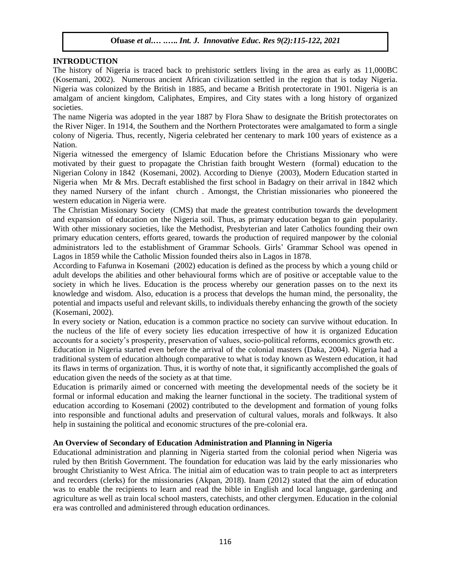# **INTRODUCTION**

The history of Nigeria is traced back to prehistoric settlers living in the area as early as 11,000BC (Kosemani, 2002). Numerous ancient African civilization settled in the region that is today Nigeria. Nigeria was colonized by the British in 1885, and became a British protectorate in 1901. Nigeria is an amalgam of ancient kingdom, Caliphates, Empires, and City states with a long history of organized societies.

The name Nigeria was adopted in the year 1887 by Flora Shaw to designate the British protectorates on the River Niger. In 1914, the Southern and the Northern Protectorates were amalgamated to form a single colony of Nigeria. Thus, recently, Nigeria celebrated her centenary to mark 100 years of existence as a Nation.

Nigeria witnessed the emergency of Islamic Education before the Christians Missionary who were motivated by their guest to propagate the Christian faith brought Western (formal) education to the Nigerian Colony in 1842 (Kosemani, 2002). According to Dienye (2003), Modern Education started in Nigeria when Mr & Mrs. Decraft established the first school in Badagry on their arrival in 1842 which they named Nursery of the infant church . Amongst, the Christian missionaries who pioneered the western education in Nigeria were.

The Christian Missionary Society (CMS) that made the greatest contribution towards the development and expansion of education on the Nigeria soil. Thus, as primary education began to gain popularity. With other missionary societies, like the Methodist, Presbyterian and later Catholics founding their own primary education centers, efforts geared, towards the production of required manpower by the colonial administrators led to the establishment of Grammar Schools. Girls' Grammar School was opened in Lagos in 1859 while the Catholic Mission founded theirs also in Lagos in 1878.

According to Fafunwa in Kosemani (2002) education is defined as the process by which a young child or adult develops the abilities and other behavioural forms which are of positive or acceptable value to the society in which he lives. Education is the process whereby our generation passes on to the next its knowledge and wisdom. Also, education is a process that develops the human mind, the personality, the potential and impacts useful and relevant skills, to individuals thereby enhancing the growth of the society (Kosemani, 2002).

In every society or Nation, education is a common practice no society can survive without education. In the nucleus of the life of every society lies education irrespective of how it is organized Education accounts for a society's prosperity, preservation of values, socio-political reforms, economics growth etc.

Education in Nigeria started even before the arrival of the colonial masters (Daka, 2004). Nigeria had a traditional system of education although comparative to what is today known as Western education, it had its flaws in terms of organization. Thus, it is worthy of note that, it significantly accomplished the goals of education given the needs of the society as at that time.

Education is primarily aimed or concerned with meeting the developmental needs of the society be it formal or informal education and making the learner functional in the society. The traditional system of education according to Kosemani (2002) contributed to the development and formation of young folks into responsible and functional adults and preservation of cultural values, morals and folkways. It also help in sustaining the political and economic structures of the pre-colonial era.

# **An Overview of Secondary of Education Administration and Planning in Nigeria**

Educational administration and planning in Nigeria started from the colonial period when Nigeria was ruled by then British Government. The foundation for education was laid by the early missionaries who brought Christianity to West Africa. The initial aim of education was to train people to act as interpreters and recorders (clerks) for the missionaries (Akpan, 2018). Inam (2012) stated that the aim of education was to enable the recipients to learn and read the bible in English and local language, gardening and agriculture as well as train local school masters, catechists, and other clergymen. Education in the colonial era was controlled and administered through education ordinances.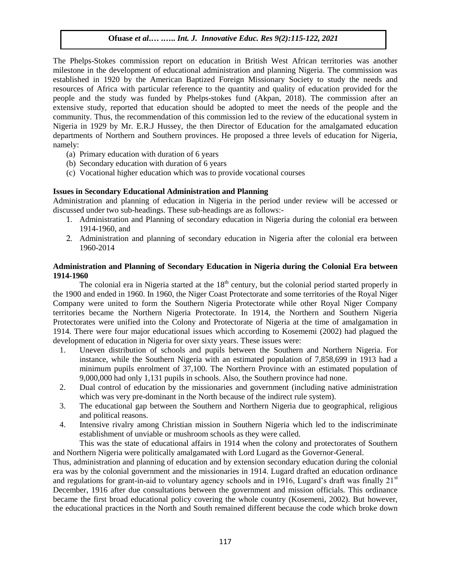The Phelps-Stokes commission report on education in British West African territories was another milestone in the development of educational administration and planning Nigeria. The commission was established in 1920 by the American Baptized Foreign Missionary Society to study the needs and resources of Africa with particular reference to the quantity and quality of education provided for the people and the study was funded by Phelps-stokes fund (Akpan, 2018). The commission after an extensive study, reported that education should be adopted to meet the needs of the people and the community. Thus, the recommendation of this commission led to the review of the educational system in Nigeria in 1929 by Mr. E.R.J Hussey, the then Director of Education for the amalgamated education departments of Northern and Southern provinces. He proposed a three levels of education for Nigeria, namely:

- (a) Primary education with duration of 6 years
- (b) Secondary education with duration of 6 years
- (c) Vocational higher education which was to provide vocational courses

#### **Issues in Secondary Educational Administration and Planning**

Administration and planning of education in Nigeria in the period under review will be accessed or discussed under two sub-headings. These sub-headings are as follows:-

- 1. Administration and Planning of secondary education in Nigeria during the colonial era between 1914-1960, and
- 2. Administration and planning of secondary education in Nigeria after the colonial era between 1960-2014

#### **Administration and Planning of Secondary Education in Nigeria during the Colonial Era between 1914-1960**

The colonial era in Nigeria started at the  $18<sup>th</sup>$  century, but the colonial period started properly in the 1900 and ended in 1960. In 1960, the Niger Coast Protectorate and some territories of the Royal Niger Company were united to form the Southern Nigeria Protectorate while other Royal Niger Company territories became the Northern Nigeria Protectorate. In 1914, the Northern and Southern Nigeria Protectorates were unified into the Colony and Protectorate of Nigeria at the time of amalgamation in 1914. There were four major educational issues which according to Kosememi (2002) had plagued the development of education in Nigeria for over sixty years. These issues were:

- 1. Uneven distribution of schools and pupils between the Southern and Northern Nigeria. For instance, while the Southern Nigeria with an estimated population of 7,858,699 in 1913 had a minimum pupils enrolment of 37,100. The Northern Province with an estimated population of 9,000,000 had only 1,131 pupils in schools. Also, the Southern province had none.
- 2. Dual control of education by the missionaries and government (including native administration which was very pre-dominant in the North because of the indirect rule system).
- 3. The educational gap between the Southern and Northern Nigeria due to geographical, religious and political reasons.
- 4. Intensive rivalry among Christian mission in Southern Nigeria which led to the indiscriminate establishment of unviable or mushroom schools as they were called.

This was the state of educational affairs in 1914 when the colony and protectorates of Southern and Northern Nigeria were politically amalgamated with Lord Lugard as the Governor-General.

Thus, administration and planning of education and by extension secondary education during the colonial era was by the colonial government and the missionaries in 1914. Lugard drafted an education ordinance and regulations for grant-in-aid to voluntary agency schools and in 1916, Lugard's draft was finally  $21<sup>st</sup>$ December, 1916 after due consultations between the government and mission officials. This ordinance became the first broad educational policy covering the whole country (Kosemeni, 2002). But however, the educational practices in the North and South remained different because the code which broke down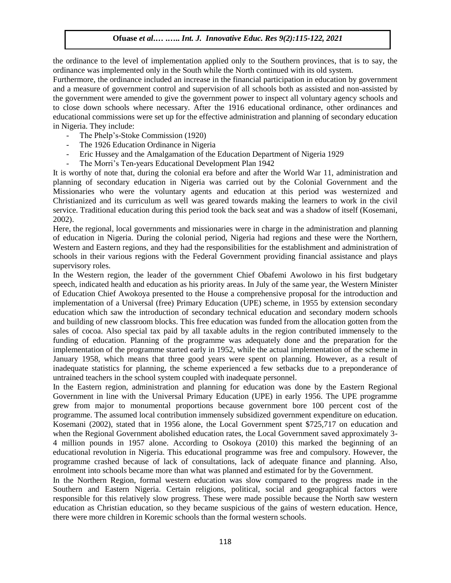the ordinance to the level of implementation applied only to the Southern provinces, that is to say, the ordinance was implemented only in the South while the North continued with its old system.

Furthermore, the ordinance included an increase in the financial participation in education by government and a measure of government control and supervision of all schools both as assisted and non-assisted by the government were amended to give the government power to inspect all voluntary agency schools and to close down schools where necessary. After the 1916 educational ordinance, other ordinances and educational commissions were set up for the effective administration and planning of secondary education in Nigeria. They include:

- The Phelp's-Stoke Commission (1920)
- The 1926 Education Ordinance in Nigeria
- Eric Hussey and the Amalgamation of the Education Department of Nigeria 1929
- The Morri's Ten-years Educational Development Plan 1942

It is worthy of note that, during the colonial era before and after the World War 11, administration and planning of secondary education in Nigeria was carried out by the Colonial Government and the Missionaries who were the voluntary agents and education at this period was westernized and Christianized and its curriculum as well was geared towards making the learners to work in the civil service. Traditional education during this period took the back seat and was a shadow of itself (Kosemani, 2002).

Here, the regional, local governments and missionaries were in charge in the administration and planning of education in Nigeria. During the colonial period, Nigeria had regions and these were the Northern, Western and Eastern regions, and they had the responsibilities for the establishment and administration of schools in their various regions with the Federal Government providing financial assistance and plays supervisory roles.

In the Western region, the leader of the government Chief Obafemi Awolowo in his first budgetary speech, indicated health and education as his priority areas. In July of the same year, the Western Minister of Education Chief Awokoya presented to the House a comprehensive proposal for the introduction and implementation of a Universal (free) Primary Education (UPE) scheme, in 1955 by extension secondary education which saw the introduction of secondary technical education and secondary modern schools and building of new classroom blocks. This free education was funded from the allocation gotten from the sales of cocoa. Also special tax paid by all taxable adults in the region contributed immensely to the funding of education. Planning of the programme was adequately done and the preparation for the implementation of the programme started early in 1952, while the actual implementation of the scheme in January 1958, which means that three good years were spent on planning. However, as a result of inadequate statistics for planning, the scheme experienced a few setbacks due to a preponderance of untrained teachers in the school system coupled with inadequate personnel.

In the Eastern region, administration and planning for education was done by the Eastern Regional Government in line with the Universal Primary Education (UPE) in early 1956. The UPE programme grew from major to monumental proportions because government bore 100 percent cost of the programme. The assumed local contribution immensely subsidized government expenditure on education. Kosemani (2002), stated that in 1956 alone, the Local Government spent \$725,717 on education and when the Regional Government abolished education rates, the Local Government saved approximately 3-4 million pounds in 1957 alone. According to Osokoya (2010) this marked the beginning of an educational revolution in Nigeria. This educational programme was free and compulsory. However, the programme crashed because of lack of consultations, lack of adequate finance and planning. Also, enrolment into schools became more than what was planned and estimated for by the Government.

In the Northern Region, formal western education was slow compared to the progress made in the Southern and Eastern Nigeria. Certain religions, political, social and geographical factors were responsible for this relatively slow progress. These were made possible because the North saw western education as Christian education, so they became suspicious of the gains of western education. Hence, there were more children in Koremic schools than the formal western schools.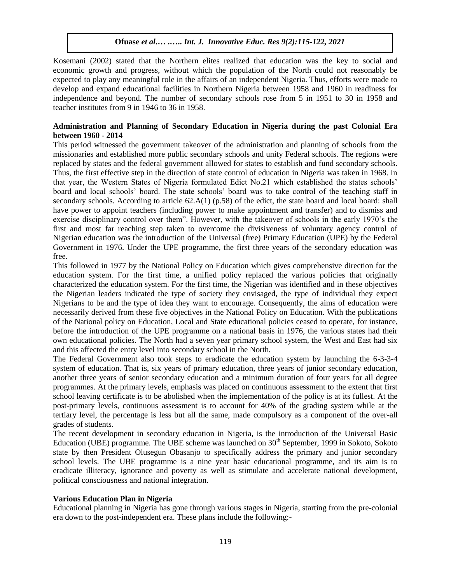Kosemani (2002) stated that the Northern elites realized that education was the key to social and economic growth and progress, without which the population of the North could not reasonably be expected to play any meaningful role in the affairs of an independent Nigeria. Thus, efforts were made to develop and expand educational facilities in Northern Nigeria between 1958 and 1960 in readiness for independence and beyond. The number of secondary schools rose from 5 in 1951 to 30 in 1958 and teacher institutes from 9 in 1946 to 36 in 1958.

#### **Administration and Planning of Secondary Education in Nigeria during the past Colonial Era between 1960 - 2014**

This period witnessed the government takeover of the administration and planning of schools from the missionaries and established more public secondary schools and unity Federal schools. The regions were replaced by states and the federal government allowed for states to establish and fund secondary schools. Thus, the first effective step in the direction of state control of education in Nigeria was taken in 1968. In that year, the Western States of Nigeria formulated Edict No.21 which established the states schools' board and local schools' board. The state schools' board was to take control of the teaching staff in secondary schools. According to article  $62.A(1)$  (p.58) of the edict, the state board and local board: shall have power to appoint teachers (including power to make appointment and transfer) and to dismiss and exercise disciplinary control over them". However, with the takeover of schools in the early 1970's the first and most far reaching step taken to overcome the divisiveness of voluntary agency control of Nigerian education was the introduction of the Universal (free) Primary Education (UPE) by the Federal Government in 1976. Under the UPE programme, the first three years of the secondary education was free.

This followed in 1977 by the National Policy on Education which gives comprehensive direction for the education system. For the first time, a unified policy replaced the various policies that originally characterized the education system. For the first time, the Nigerian was identified and in these objectives the Nigerian leaders indicated the type of society they envisaged, the type of individual they expect Nigerians to be and the type of idea they want to encourage. Consequently, the aims of education were necessarily derived from these five objectives in the National Policy on Education. With the publications of the National policy on Education, Local and State educational policies ceased to operate, for instance, before the introduction of the UPE programme on a national basis in 1976, the various states had their own educational policies. The North had a seven year primary school system, the West and East had six and this affected the entry level into secondary school in the North.

The Federal Government also took steps to eradicate the education system by launching the 6-3-3-4 system of education. That is, six years of primary education, three years of junior secondary education, another three years of senior secondary education and a minimum duration of four years for all degree programmes. At the primary levels, emphasis was placed on continuous assessment to the extent that first school leaving certificate is to be abolished when the implementation of the policy is at its fullest. At the post-primary levels, continuous assessment is to account for 40% of the grading system while at the tertiary level, the percentage is less but all the same, made compulsory as a component of the over-all grades of students.

The recent development in secondary education in Nigeria, is the introduction of the Universal Basic Education (UBE) programme. The UBE scheme was launched on  $30<sup>th</sup>$  September, 1999 in Sokoto, Sokoto state by then President Olusegun Obasanjo to specifically address the primary and junior secondary school levels. The UBE programme is a nine year basic educational programme, and its aim is to eradicate illiteracy, ignorance and poverty as well as stimulate and accelerate national development, political consciousness and national integration.

# **Various Education Plan in Nigeria**

Educational planning in Nigeria has gone through various stages in Nigeria, starting from the pre-colonial era down to the post-independent era. These plans include the following:-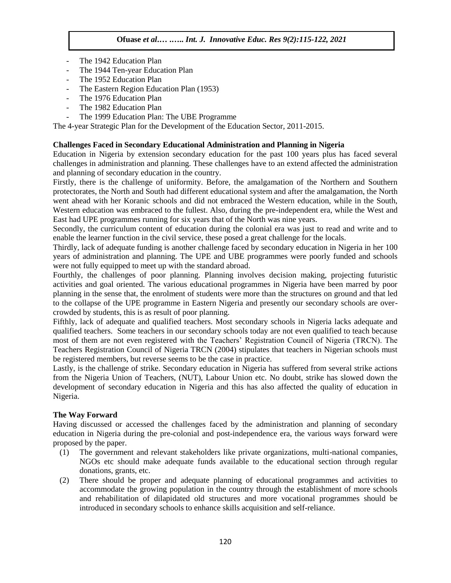- The 1942 Education Plan
- The 1944 Ten-year Education Plan
- The 1952 Education Plan
- The Eastern Region Education Plan (1953)
- The 1976 Education Plan
- The 1982 Education Plan
- The 1999 Education Plan: The UBE Programme

The 4-year Strategic Plan for the Development of the Education Sector, 2011-2015.

# **Challenges Faced in Secondary Educational Administration and Planning in Nigeria**

Education in Nigeria by extension secondary education for the past 100 years plus has faced several challenges in administration and planning. These challenges have to an extend affected the administration and planning of secondary education in the country.

Firstly, there is the challenge of uniformity. Before, the amalgamation of the Northern and Southern protectorates, the North and South had different educational system and after the amalgamation, the North went ahead with her Koranic schools and did not embraced the Western education, while in the South, Western education was embraced to the fullest. Also, during the pre-independent era, while the West and East had UPE programmes running for six years that of the North was nine years.

Secondly, the curriculum content of education during the colonial era was just to read and write and to enable the learner function in the civil service, these posed a great challenge for the locals.

Thirdly, lack of adequate funding is another challenge faced by secondary education in Nigeria in her 100 years of administration and planning. The UPE and UBE programmes were poorly funded and schools were not fully equipped to meet up with the standard abroad.

Fourthly, the challenges of poor planning. Planning involves decision making, projecting futuristic activities and goal oriented. The various educational programmes in Nigeria have been marred by poor planning in the sense that, the enrolment of students were more than the structures on ground and that led to the collapse of the UPE programme in Eastern Nigeria and presently our secondary schools are overcrowded by students, this is as result of poor planning.

Fifthly, lack of adequate and qualified teachers. Most secondary schools in Nigeria lacks adequate and qualified teachers. Some teachers in our secondary schools today are not even qualified to teach because most of them are not even registered with the Teachers' Registration Council of Nigeria (TRCN). The Teachers Registration Council of Nigeria TRCN (2004) stipulates that teachers in Nigerian schools must be registered members, but reverse seems to be the case in practice.

Lastly, is the challenge of strike. Secondary education in Nigeria has suffered from several strike actions from the Nigeria Union of Teachers, (NUT), Labour Union etc. No doubt, strike has slowed down the development of secondary education in Nigeria and this has also affected the quality of education in Nigeria.

# **The Way Forward**

Having discussed or accessed the challenges faced by the administration and planning of secondary education in Nigeria during the pre-colonial and post-independence era, the various ways forward were proposed by the paper.

- (1) The government and relevant stakeholders like private organizations, multi-national companies, NGOs etc should make adequate funds available to the educational section through regular donations, grants, etc.
- (2) There should be proper and adequate planning of educational programmes and activities to accommodate the growing population in the country through the establishment of more schools and rehabilitation of dilapidated old structures and more vocational programmes should be introduced in secondary schools to enhance skills acquisition and self-reliance.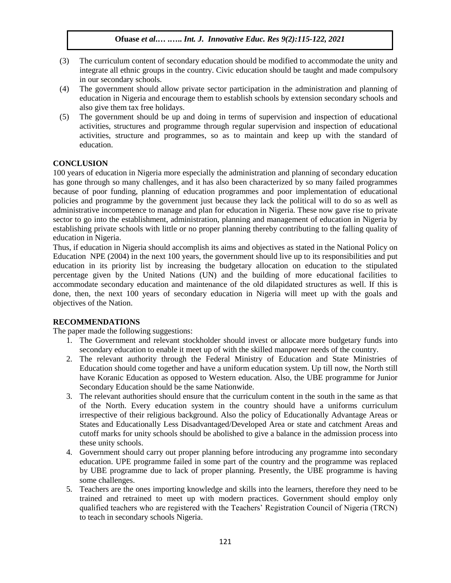- (3) The curriculum content of secondary education should be modified to accommodate the unity and integrate all ethnic groups in the country. Civic education should be taught and made compulsory in our secondary schools.
- (4) The government should allow private sector participation in the administration and planning of education in Nigeria and encourage them to establish schools by extension secondary schools and also give them tax free holidays.
- (5) The government should be up and doing in terms of supervision and inspection of educational activities, structures and programme through regular supervision and inspection of educational activities, structure and programmes, so as to maintain and keep up with the standard of education.

# **CONCLUSION**

100 years of education in Nigeria more especially the administration and planning of secondary education has gone through so many challenges, and it has also been characterized by so many failed programmes because of poor funding, planning of education programmes and poor implementation of educational policies and programme by the government just because they lack the political will to do so as well as administrative incompetence to manage and plan for education in Nigeria. These now gave rise to private sector to go into the establishment, administration, planning and management of education in Nigeria by establishing private schools with little or no proper planning thereby contributing to the falling quality of education in Nigeria.

Thus, if education in Nigeria should accomplish its aims and objectives as stated in the National Policy on Education NPE (2004) in the next 100 years, the government should live up to its responsibilities and put education in its priority list by increasing the budgetary allocation on education to the stipulated percentage given by the United Nations (UN) and the building of more educational facilities to accommodate secondary education and maintenance of the old dilapidated structures as well. If this is done, then, the next 100 years of secondary education in Nigeria will meet up with the goals and objectives of the Nation.

# **RECOMMENDATIONS**

The paper made the following suggestions:

- 1. The Government and relevant stockholder should invest or allocate more budgetary funds into secondary education to enable it meet up of with the skilled manpower needs of the country.
- 2. The relevant authority through the Federal Ministry of Education and State Ministries of Education should come together and have a uniform education system. Up till now, the North still have Koranic Education as opposed to Western education. Also, the UBE programme for Junior Secondary Education should be the same Nationwide.
- 3. The relevant authorities should ensure that the curriculum content in the south in the same as that of the North. Every education system in the country should have a uniforms curriculum irrespective of their religious background. Also the policy of Educationally Advantage Areas or States and Educationally Less Disadvantaged/Developed Area or state and catchment Areas and cutoff marks for unity schools should be abolished to give a balance in the admission process into these unity schools.
- 4. Government should carry out proper planning before introducing any programme into secondary education. UPE programme failed in some part of the country and the programme was replaced by UBE programme due to lack of proper planning. Presently, the UBE programme is having some challenges.
- 5. Teachers are the ones importing knowledge and skills into the learners, therefore they need to be trained and retrained to meet up with modern practices. Government should employ only qualified teachers who are registered with the Teachers' Registration Council of Nigeria (TRCN) to teach in secondary schools Nigeria.